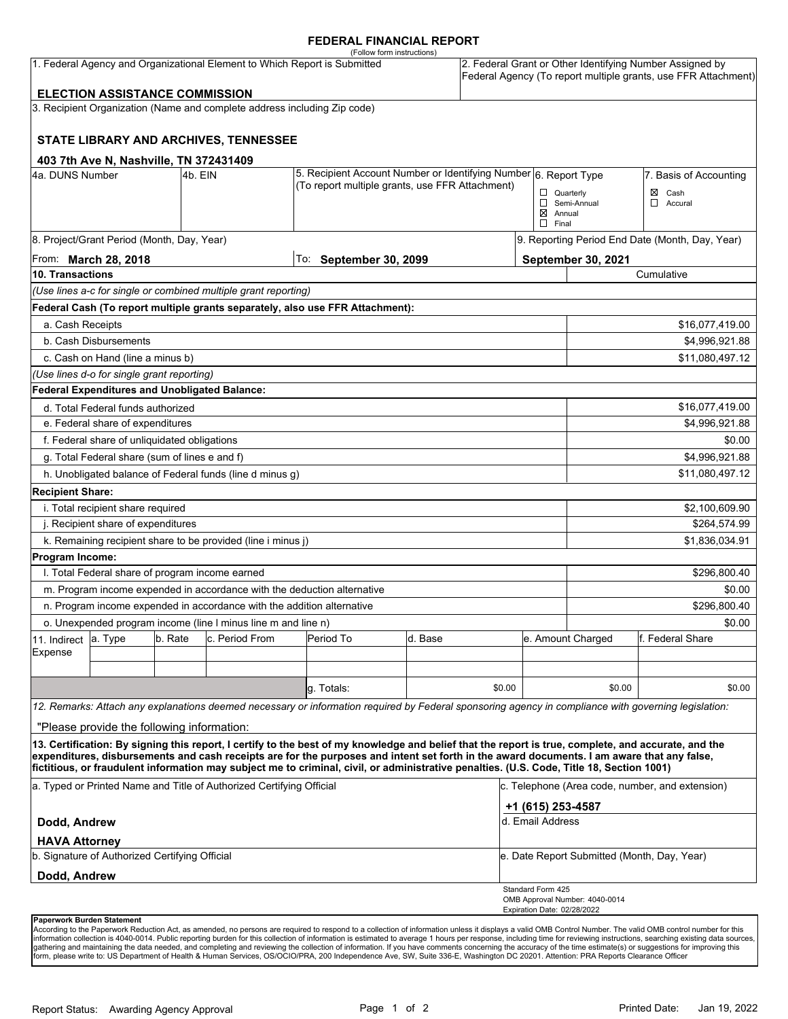#### **FEDERAL FINANCIAL REPORT**

|                                                                                                                    |                                                                                                                                |         |                                                                          | (Follow form instructions)                                                                                                                                                                                                                                                                                                                                                                                                                      |         |                                                 |                                                                                                                            |                                                            |                  |  |
|--------------------------------------------------------------------------------------------------------------------|--------------------------------------------------------------------------------------------------------------------------------|---------|--------------------------------------------------------------------------|-------------------------------------------------------------------------------------------------------------------------------------------------------------------------------------------------------------------------------------------------------------------------------------------------------------------------------------------------------------------------------------------------------------------------------------------------|---------|-------------------------------------------------|----------------------------------------------------------------------------------------------------------------------------|------------------------------------------------------------|------------------|--|
| 1. Federal Agency and Organizational Element to Which Report is Submitted<br><b>ELECTION ASSISTANCE COMMISSION</b> |                                                                                                                                |         |                                                                          |                                                                                                                                                                                                                                                                                                                                                                                                                                                 |         |                                                 | 2. Federal Grant or Other Identifying Number Assigned by<br>Federal Agency (To report multiple grants, use FFR Attachment) |                                                            |                  |  |
|                                                                                                                    |                                                                                                                                |         |                                                                          |                                                                                                                                                                                                                                                                                                                                                                                                                                                 |         |                                                 |                                                                                                                            |                                                            |                  |  |
|                                                                                                                    |                                                                                                                                |         | 3. Recipient Organization (Name and complete address including Zip code) |                                                                                                                                                                                                                                                                                                                                                                                                                                                 |         |                                                 |                                                                                                                            |                                                            |                  |  |
|                                                                                                                    |                                                                                                                                |         | STATE LIBRARY AND ARCHIVES, TENNESSEE                                    |                                                                                                                                                                                                                                                                                                                                                                                                                                                 |         |                                                 |                                                                                                                            |                                                            |                  |  |
|                                                                                                                    | 403 7th Ave N, Nashville, TN 372431409                                                                                         |         |                                                                          |                                                                                                                                                                                                                                                                                                                                                                                                                                                 |         |                                                 |                                                                                                                            |                                                            |                  |  |
| 4a. DUNS Number                                                                                                    | 5. Recipient Account Number or Identifying Number 6. Report Type<br>4b. EIN<br>(To report multiple grants, use FFR Attachment) |         |                                                                          |                                                                                                                                                                                                                                                                                                                                                                                                                                                 |         | $\Box$ Quarterly<br>$\boxtimes$ Annual          | Semi-Annual                                                                                                                | 7. Basis of Accounting<br>$\boxtimes$ Cash<br>◻<br>Accural |                  |  |
|                                                                                                                    | 8. Project/Grant Period (Month, Day, Year)                                                                                     |         |                                                                          |                                                                                                                                                                                                                                                                                                                                                                                                                                                 |         |                                                 | $\Box$ Final                                                                                                               |                                                            |                  |  |
|                                                                                                                    |                                                                                                                                |         |                                                                          |                                                                                                                                                                                                                                                                                                                                                                                                                                                 |         |                                                 |                                                                                                                            | 9. Reporting Period End Date (Month, Day, Year)            |                  |  |
| From: <b>March 28, 2018</b><br>10. Transactions                                                                    |                                                                                                                                |         | To: September 30, 2099                                                   |                                                                                                                                                                                                                                                                                                                                                                                                                                                 |         | September 30, 2021<br>Cumulative                |                                                                                                                            |                                                            |                  |  |
|                                                                                                                    |                                                                                                                                |         | (Use lines a-c for single or combined multiple grant reporting)          |                                                                                                                                                                                                                                                                                                                                                                                                                                                 |         |                                                 |                                                                                                                            |                                                            |                  |  |
|                                                                                                                    |                                                                                                                                |         |                                                                          | Federal Cash (To report multiple grants separately, also use FFR Attachment):                                                                                                                                                                                                                                                                                                                                                                   |         |                                                 |                                                                                                                            |                                                            |                  |  |
| a. Cash Receipts                                                                                                   |                                                                                                                                |         |                                                                          |                                                                                                                                                                                                                                                                                                                                                                                                                                                 |         |                                                 |                                                                                                                            |                                                            | \$16,077,419.00  |  |
|                                                                                                                    | b. Cash Disbursements                                                                                                          |         |                                                                          |                                                                                                                                                                                                                                                                                                                                                                                                                                                 |         |                                                 |                                                                                                                            |                                                            | \$4,996,921.88   |  |
|                                                                                                                    | c. Cash on Hand (line a minus b)                                                                                               |         |                                                                          |                                                                                                                                                                                                                                                                                                                                                                                                                                                 |         |                                                 |                                                                                                                            |                                                            | \$11,080,497.12  |  |
|                                                                                                                    | (Use lines d-o for single grant reporting)                                                                                     |         |                                                                          |                                                                                                                                                                                                                                                                                                                                                                                                                                                 |         |                                                 |                                                                                                                            |                                                            |                  |  |
|                                                                                                                    | Federal Expenditures and Unobligated Balance:                                                                                  |         |                                                                          |                                                                                                                                                                                                                                                                                                                                                                                                                                                 |         |                                                 |                                                                                                                            |                                                            |                  |  |
|                                                                                                                    | d. Total Federal funds authorized                                                                                              |         |                                                                          |                                                                                                                                                                                                                                                                                                                                                                                                                                                 |         |                                                 |                                                                                                                            |                                                            | \$16,077,419.00  |  |
|                                                                                                                    | e. Federal share of expenditures                                                                                               |         |                                                                          |                                                                                                                                                                                                                                                                                                                                                                                                                                                 |         |                                                 |                                                                                                                            |                                                            | \$4,996,921.88   |  |
|                                                                                                                    | f. Federal share of unliquidated obligations                                                                                   |         |                                                                          |                                                                                                                                                                                                                                                                                                                                                                                                                                                 |         |                                                 |                                                                                                                            |                                                            | \$0.00           |  |
|                                                                                                                    | g. Total Federal share (sum of lines e and f)                                                                                  |         |                                                                          |                                                                                                                                                                                                                                                                                                                                                                                                                                                 |         |                                                 |                                                                                                                            |                                                            | \$4,996,921.88   |  |
|                                                                                                                    |                                                                                                                                |         | h. Unobligated balance of Federal funds (line d minus g)                 |                                                                                                                                                                                                                                                                                                                                                                                                                                                 |         |                                                 |                                                                                                                            |                                                            | \$11,080,497.12  |  |
| <b>Recipient Share:</b>                                                                                            |                                                                                                                                |         |                                                                          |                                                                                                                                                                                                                                                                                                                                                                                                                                                 |         |                                                 |                                                                                                                            |                                                            |                  |  |
|                                                                                                                    | i. Total recipient share required                                                                                              |         |                                                                          |                                                                                                                                                                                                                                                                                                                                                                                                                                                 |         |                                                 |                                                                                                                            |                                                            | \$2,100,609.90   |  |
|                                                                                                                    | j. Recipient share of expenditures                                                                                             |         |                                                                          |                                                                                                                                                                                                                                                                                                                                                                                                                                                 |         |                                                 |                                                                                                                            | \$264,574.99                                               |                  |  |
|                                                                                                                    |                                                                                                                                |         | k. Remaining recipient share to be provided (line i minus j)             |                                                                                                                                                                                                                                                                                                                                                                                                                                                 |         |                                                 |                                                                                                                            |                                                            | \$1,836,034.91   |  |
| Program Income:                                                                                                    |                                                                                                                                |         |                                                                          |                                                                                                                                                                                                                                                                                                                                                                                                                                                 |         |                                                 |                                                                                                                            |                                                            |                  |  |
|                                                                                                                    | I. Total Federal share of program income earned                                                                                |         |                                                                          |                                                                                                                                                                                                                                                                                                                                                                                                                                                 |         |                                                 |                                                                                                                            |                                                            | \$296,800.40     |  |
|                                                                                                                    |                                                                                                                                |         | m. Program income expended in accordance with the deduction alternative  |                                                                                                                                                                                                                                                                                                                                                                                                                                                 |         |                                                 |                                                                                                                            | \$0.00                                                     |                  |  |
|                                                                                                                    |                                                                                                                                |         | n. Program income expended in accordance with the addition alternative   |                                                                                                                                                                                                                                                                                                                                                                                                                                                 |         |                                                 |                                                                                                                            | \$296,800.40                                               |                  |  |
|                                                                                                                    |                                                                                                                                |         | o. Unexpended program income (line I minus line m and line n)            |                                                                                                                                                                                                                                                                                                                                                                                                                                                 |         |                                                 |                                                                                                                            |                                                            | \$0.00           |  |
| 11. Indirect<br>Expense                                                                                            | a. Type                                                                                                                        | b. Rate | c. Period From                                                           | Period To                                                                                                                                                                                                                                                                                                                                                                                                                                       | d. Base |                                                 |                                                                                                                            | e. Amount Charged                                          | f. Federal Share |  |
|                                                                                                                    |                                                                                                                                |         |                                                                          |                                                                                                                                                                                                                                                                                                                                                                                                                                                 |         |                                                 |                                                                                                                            |                                                            |                  |  |
|                                                                                                                    |                                                                                                                                |         |                                                                          | g. Totals:                                                                                                                                                                                                                                                                                                                                                                                                                                      |         | \$0.00                                          |                                                                                                                            | \$0.00                                                     | \$0.00           |  |
|                                                                                                                    |                                                                                                                                |         |                                                                          |                                                                                                                                                                                                                                                                                                                                                                                                                                                 |         |                                                 |                                                                                                                            |                                                            |                  |  |
|                                                                                                                    |                                                                                                                                |         |                                                                          | 12. Remarks: Attach any explanations deemed necessary or information required by Federal sponsoring agency in compliance with governing legislation:                                                                                                                                                                                                                                                                                            |         |                                                 |                                                                                                                            |                                                            |                  |  |
|                                                                                                                    | "Please provide the following information:                                                                                     |         |                                                                          |                                                                                                                                                                                                                                                                                                                                                                                                                                                 |         |                                                 |                                                                                                                            |                                                            |                  |  |
|                                                                                                                    |                                                                                                                                |         |                                                                          | 13. Certification: By signing this report, I certify to the best of my knowledge and belief that the report is true, complete, and accurate, and the<br>expenditures, disbursements and cash receipts are for the purposes and intent set forth in the award documents. I am aware that any false,<br>fictitious, or fraudulent information may subject me to criminal, civil, or administrative penalties. (U.S. Code, Title 18, Section 1001) |         |                                                 |                                                                                                                            |                                                            |                  |  |
| a. Typed or Printed Name and Title of Authorized Certifying Official                                               |                                                                                                                                |         |                                                                          |                                                                                                                                                                                                                                                                                                                                                                                                                                                 |         | c. Telephone (Area code, number, and extension) |                                                                                                                            |                                                            |                  |  |
| Dodd, Andrew                                                                                                       |                                                                                                                                |         |                                                                          |                                                                                                                                                                                                                                                                                                                                                                                                                                                 |         | +1 (615) 253-4587<br>d. Email Address           |                                                                                                                            |                                                            |                  |  |
| <b>HAVA Attorney</b>                                                                                               | b. Signature of Authorized Certifying Official                                                                                 |         |                                                                          |                                                                                                                                                                                                                                                                                                                                                                                                                                                 |         |                                                 |                                                                                                                            | e. Date Report Submitted (Month, Day, Year)                |                  |  |
|                                                                                                                    |                                                                                                                                |         |                                                                          |                                                                                                                                                                                                                                                                                                                                                                                                                                                 |         |                                                 |                                                                                                                            |                                                            |                  |  |
| Dodd, Andrew                                                                                                       |                                                                                                                                |         |                                                                          |                                                                                                                                                                                                                                                                                                                                                                                                                                                 |         |                                                 | Standard Form 425                                                                                                          | OMB Approval Number: 4040-0014                             |                  |  |
| <b>Dononuork Durdon Ctotomont</b>                                                                                  |                                                                                                                                |         |                                                                          |                                                                                                                                                                                                                                                                                                                                                                                                                                                 |         |                                                 | Expiration Date: 02/28/2022                                                                                                |                                                            |                  |  |

**Paperwork Burden Statement**<br>According to the Paperwork Reduction Act, as amended, no persons are required to respond to a collection of information unless it displays a valid OMB Control Number. The valid OMB control numb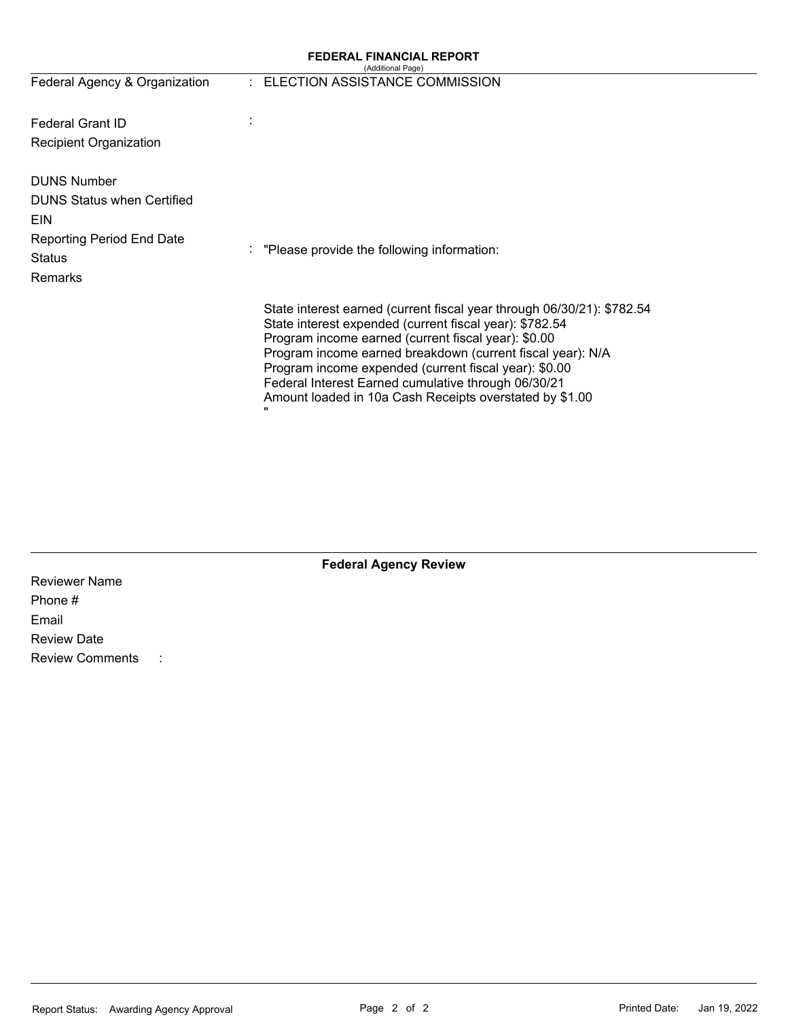# **FEDERAL FINANCIAL REPORT**  (Additional Page)

| $\sqrt{2}$ . The mass of the second state $\frac{1}{2}$ , $\frac{1}{2}$ |
|-------------------------------------------------------------------------|
| - ELECTION ASSISTANCE COMMISSIO                                         |

| Federal Agency & Organization                                                                                                                | : ELECTION ASSISTANCE COMMISSION                                                                                                                                                                                                                                                                                                                                                                                                  |
|----------------------------------------------------------------------------------------------------------------------------------------------|-----------------------------------------------------------------------------------------------------------------------------------------------------------------------------------------------------------------------------------------------------------------------------------------------------------------------------------------------------------------------------------------------------------------------------------|
| <b>Federal Grant ID</b><br><b>Recipient Organization</b>                                                                                     |                                                                                                                                                                                                                                                                                                                                                                                                                                   |
| <b>DUNS Number</b><br><b>DUNS Status when Certified</b><br><b>EIN</b><br><b>Reporting Period End Date</b><br><b>Status</b><br><b>Remarks</b> | "Please provide the following information:                                                                                                                                                                                                                                                                                                                                                                                        |
|                                                                                                                                              | State interest earned (current fiscal year through 06/30/21): \$782.54<br>State interest expended (current fiscal year): \$782.54<br>Program income earned (current fiscal year): \$0.00<br>Program income earned breakdown (current fiscal year): N/A<br>Program income expended (current fiscal year): \$0.00<br>Federal Interest Earned cumulative through 06/30/21<br>Amount loaded in 10a Cash Receipts overstated by \$1.00 |

| <b>Federal Agency Review</b> |  |
|------------------------------|--|
|------------------------------|--|

| <b>Reviewer Name</b>   |  |
|------------------------|--|
| Phone #                |  |
| Email                  |  |
| <b>Review Date</b>     |  |
| <b>Review Comments</b> |  |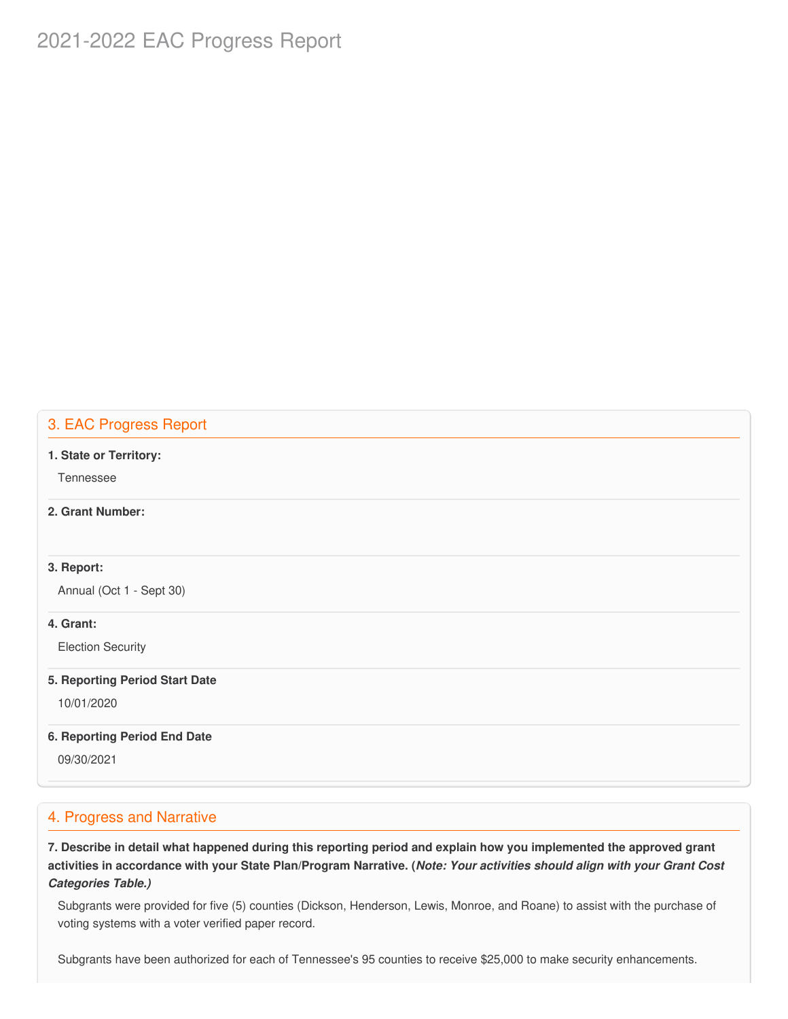# 2021-2022 EAC Progress Report

# 3. EAC Progress Report

#### **1. State or Territory:**

Tennessee

### **2. Grant Number:**

#### **3. Report:**

Annual (Oct 1 - Sept 30)

### **4. Grant:**

Election Security

#### **5. Reporting Period Start Date**

10/01/2020

#### **6. Reporting Period End Date**

09/30/2021

### 4. Progress and Narrative

7. Describe in detail what happened during this reporting period and explain how you implemented the approved grant activities in accordance with your State Plan/Program Narrative. (*Note: Your activities should align with your Grant Cost Categories Table.)*

 Subgrants were provided for five (5) counties (Dickson, Henderson, Lewis, Monroe, and Roane) to assist with the purchase of voting systems with a voter verified paper record.

Subgrants have been authorized for each of Tennessee's 95 counties to receive \$25,000 to make security enhancements.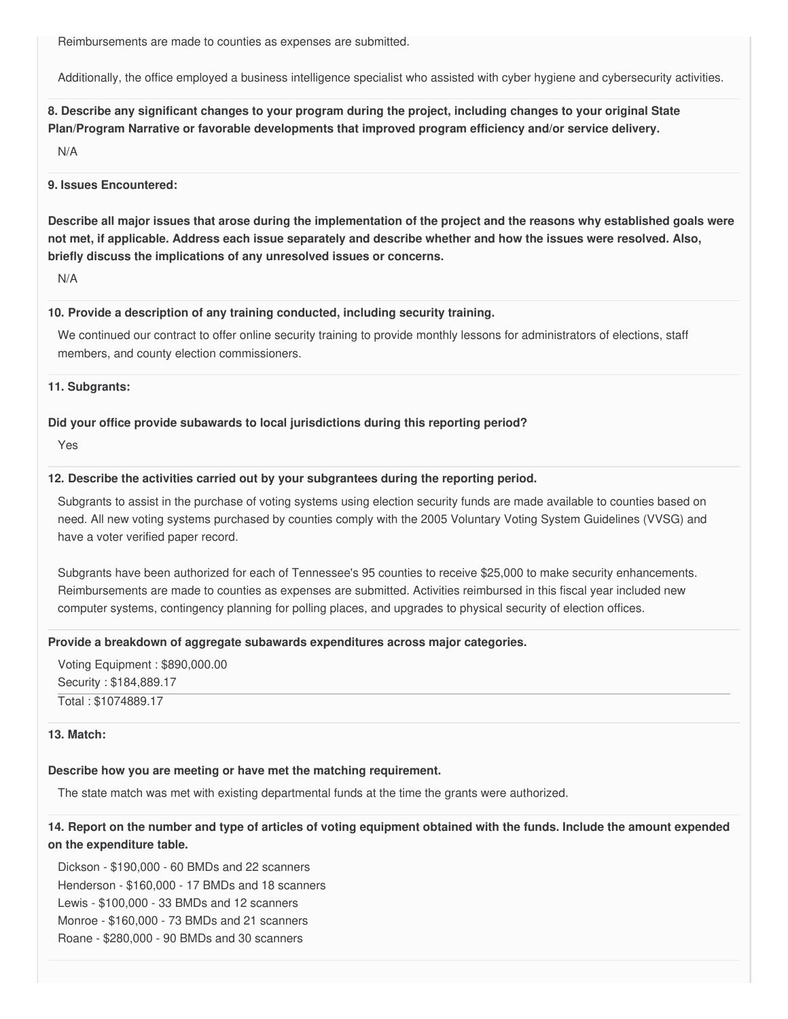Reimbursements are made to counties as expenses are submitted.

Additionally, the office employed a business intelligence specialist who assisted with cyber hygiene and cybersecurity activities.

8. Describe any significant changes to your program during the project, including changes to your original State  **Plan/Program Narrative or favorable developments that improved program efficiency and/or service delivery.**

N/A

#### **9. Issues Encountered:**

Describe all major issues that arose during the implementation of the project and the reasons why established goals were not met, if applicable. Address each issue separately and describe whether and how the issues were resolved. Also,  **briefly discuss the implications of any unresolved issues or concerns.**

N/A

#### **10. Provide a description of any training conducted, including security training.**

 We continued our contract to offer online security training to provide monthly lessons for administrators of elections, staff members, and county election commissioners.

#### **11. Subgrants:**

#### **Did your office provide subawards to local jurisdictions during this reporting period?**

Yes

#### **12. Describe the activities carried out by your subgrantees during the reporting period.**

 Subgrants to assist in the purchase of voting systems using election security funds are made available to counties based on need. All new voting systems purchased by counties comply with the 2005 Voluntary Voting System Guidelines (VVSG) and have a voter verified paper record.

 Subgrants have been authorized for each of Tennessee's 95 counties to receive \$25,000 to make security enhancements. Reimbursements are made to counties as expenses are submitted. Activities reimbursed in this fiscal year included new computer systems, contingency planning for polling places, and upgrades to physical security of election offices.

#### **Provide a breakdown of aggregate subawards expenditures across major categories.**

 Voting Equipment : [\\$890,000.00](https://890,000.00) Security : \$[184,889.17](https://184,889.17) Total : [\\$1074889.17](https://1074889.17)

#### **13. Match:**

#### **Describe how you are meeting or have met the matching requirement.**

The state match was met with existing departmental funds at the time the grants were authorized.

## 14. Report on the number and type of articles of voting equipment obtained with the funds. Include the amount expended  **on the expenditure table.**

 Dickson - \$190,000 - 60 BMDs and 22 scanners Henderson - \$160,000 - 17 BMDs and 18 scanners Lewis - \$100,000 - 33 BMDs and 12 scanners Monroe - \$160,000 - 73 BMDs and 21 scanners Roane - \$280,000 - 90 BMDs and 30 scanners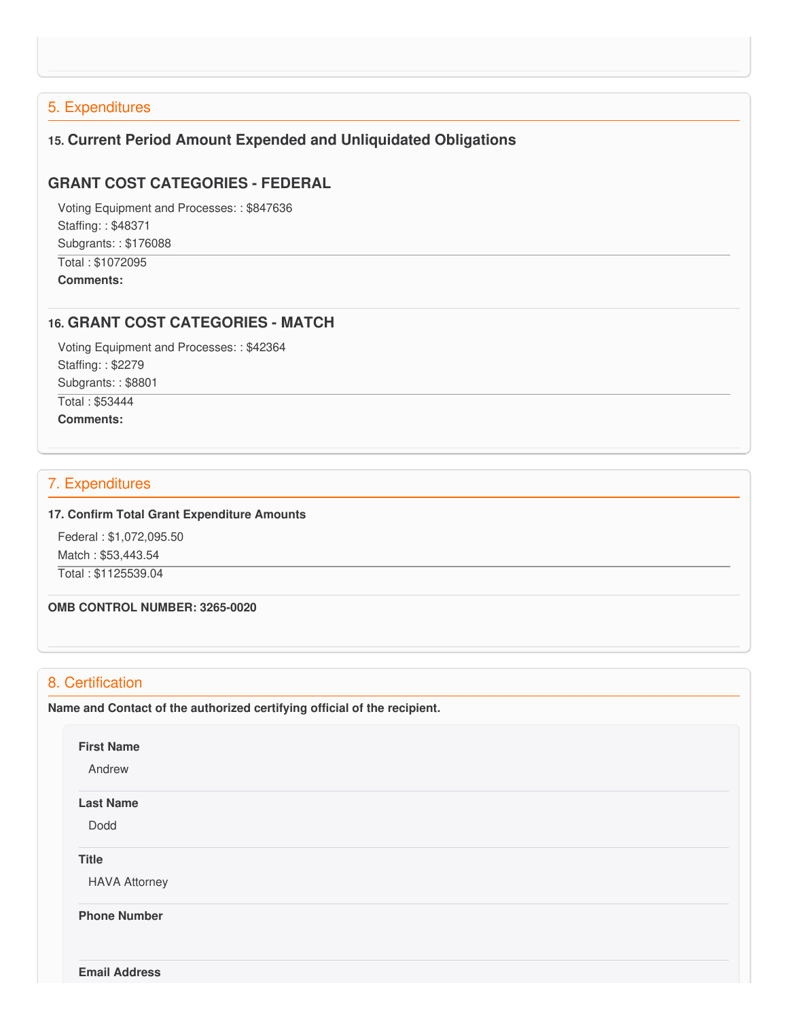# 5. Expenditures

# **15. Current Period Amount Expended and Unliquidated Obligations**

# **GRANT COST CATEGORIES - FEDERAL**

 Voting Equipment and Processes: : \$847636 Staffing: : \$48371 Subgrants: : \$176088 Total : \$1072095 **Comments:**

## **16. GRANT COST CATEGORIES - MATCH**

 Voting Equipment and Processes: : \$42364 Staffing: : \$2279 Subgrants: : \$8801 Total : \$53444 **Comments:**

### 7. Expenditures

#### **17. Confirm Total Grant Expenditure Amounts**

 Federal : \$[1,072,095.50](https://1,072,095.50) Match : \$[53,443.54](https://53,443.54) Total : [\\$1125539.04](https://1125539.04)

 **OMB CONTROL NUMBER: 3265-0020**

## 8. Certification

 **Name and Contact of the authorized certifying official of the recipient.**

#### **First Name**

Andrew

#### **Last Name**

Dodd

**Title**

HAVA Attorney

 **Phone Number**

**Email Address**